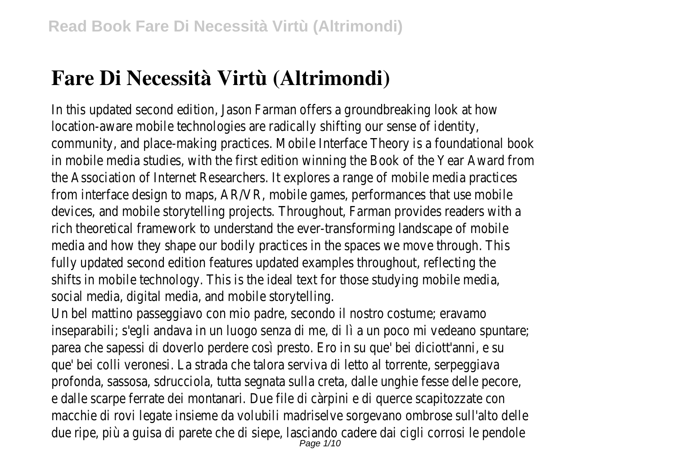# **Fare Di Necessità Virtù (Altrimondi)**

In this updated second edition, Jason Farman offers a groundbreaking look at how location-aware mobile technologies are radically shifting our sense of identity, community, and place-making practices. Mobile Interface Theory is a foundational book in mobile media studies, with the first edition winning the Book of the Year Award from the Association of Internet Researchers. It explores a range of mobile media practices from interface design to maps, AR/VR, mobile games, performances that use mobile devices, and mobile storytelling projects. Throughout, Farman provides readers with a rich theoretical framework to understand the ever-transforming landscape of mobile media and how they shape our bodily practices in the spaces we move through. This fully updated second edition features updated examples throughout, reflecting the shifts in mobile technology. This is the ideal text for those studying mobile media, social media, digital media, and mobile storytelling.

Un bel mattino passeggiavo con mio padre, secondo il nostro costume; eravamo inseparabili; s'egli andava in un luogo senza di me, di lì a un poco mi vedeano spuntare; parea che sapessi di doverlo perdere così presto. Ero in su que' bei diciott'anni, e su que' bei colli veronesi. La strada che talora serviva di letto al torrente, serpeggiava profonda, sassosa, sdrucciola, tutta segnata sulla creta, dalle unghie fesse delle pecore, e dalle scarpe ferrate dei montanari. Due file di càrpini e di querce scapitozzate con macchie di rovi legate insieme da volubili madriselve sorgevano ombrose sull'alto delle due ripe, più a guisa di parete che di siepe, lasciando cadere dai cigli corrosi le pendole<br>Page 1/10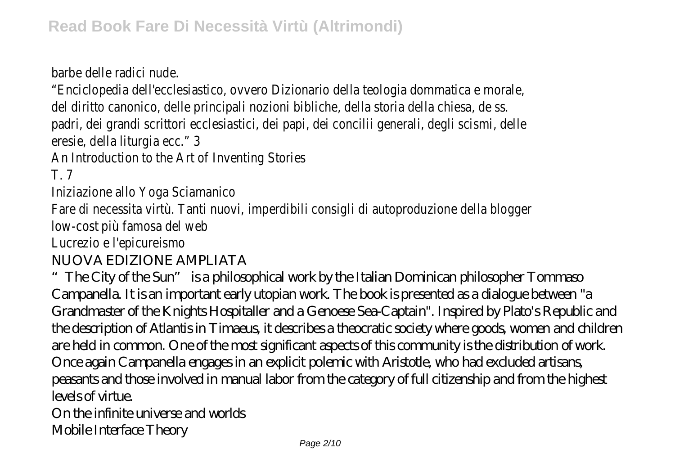barbe delle radici nude.

"Enciclopedia dell'ecclesiastico, ovvero Dizionario della teologia dommatica e morale, del diritto canonico, delle principali nozioni bibliche, della storia della chiesa, de ss. padri, dei grandi scrittori ecclesiastici, dei papi, dei concilii generali, degli scismi, delle eresie, della liturgia ecc." 3

An Introduction to the Art of Inventing Stories

T. 7

Iniziazione allo Yoga Sciamanico

Fare di necessita virtù. Tanti nuovi, imperdibili consigli di autoproduzione della blogger low-cost più famosa del web

Lucrezio e l'epicureismo

NUOVA EDIZIONE AMPLIATA

"The City of the Sun" is a philosophical work by the Italian Dominican philosopher Tommaso Campanella. It is an important early utopian work. The book is presented as a dialogue between "a Grandmaster of the Knights Hospitaller and a Genoese Sea-Captain". Inspired by Plato's Republic and the description of Atlantis in Timaeus, it describes a theocratic society where goods, women and children are held in common. One of the most significant aspects of this community is the distribution of work. Once again Campanella engages in an explicit polemic with Aristotle, who had excluded artisans, peasants and those involved in manual labor from the category of full citizenship and from the highest levels of virtue.

On the infinite universe and worlds

Mobile Interface Theory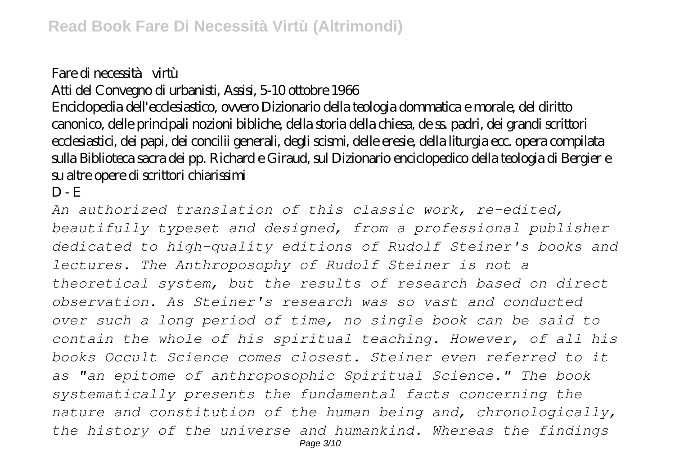## Fare di necessità virtù

## Atti del Convegno di urbanisti, Assisi, 5-10 ottobre 1966

Enciclopedia dell'ecclesiastico, ovvero Dizionario della teologia dommatica e morale, del diritto canonico, delle principali nozioni bibliche, della storia della chiesa, de ss. padri, dei grandi scrittori ecclesiastici, dei papi, dei concilii generali, degli scismi, delle eresie, della liturgia ecc. opera compilata sulla Biblioteca sacra dei pp. Richard e Giraud, sul Dizionario enciclopedico della teologia di Bergier e su altre opere di scrittori chiarissimi

### $D - E$

*An authorized translation of this classic work, re-edited, beautifully typeset and designed, from a professional publisher dedicated to high-quality editions of Rudolf Steiner's books and lectures. The Anthroposophy of Rudolf Steiner is not a theoretical system, but the results of research based on direct observation. As Steiner's research was so vast and conducted over such a long period of time, no single book can be said to contain the whole of his spiritual teaching. However, of all his books Occult Science comes closest. Steiner even referred to it as "an epitome of anthroposophic Spiritual Science." The book systematically presents the fundamental facts concerning the nature and constitution of the human being and, chronologically, the history of the universe and humankind. Whereas the findings* Page 3/10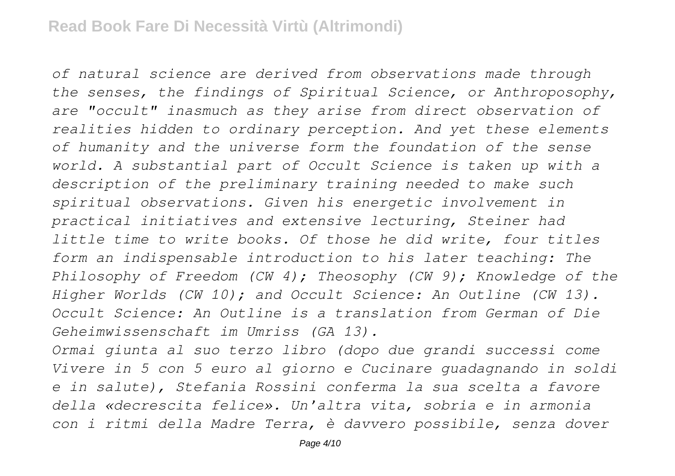*of natural science are derived from observations made through the senses, the findings of Spiritual Science, or Anthroposophy, are "occult" inasmuch as they arise from direct observation of realities hidden to ordinary perception. And yet these elements of humanity and the universe form the foundation of the sense world. A substantial part of Occult Science is taken up with a description of the preliminary training needed to make such spiritual observations. Given his energetic involvement in practical initiatives and extensive lecturing, Steiner had little time to write books. Of those he did write, four titles form an indispensable introduction to his later teaching: The Philosophy of Freedom (CW 4); Theosophy (CW 9); Knowledge of the Higher Worlds (CW 10); and Occult Science: An Outline (CW 13). Occult Science: An Outline is a translation from German of Die Geheimwissenschaft im Umriss (GA 13).*

*Ormai giunta al suo terzo libro (dopo due grandi successi come Vivere in 5 con 5 euro al giorno e Cucinare guadagnando in soldi e in salute), Stefania Rossini conferma la sua scelta a favore della «decrescita felice». Un'altra vita, sobria e in armonia con i ritmi della Madre Terra, è davvero possibile, senza dover*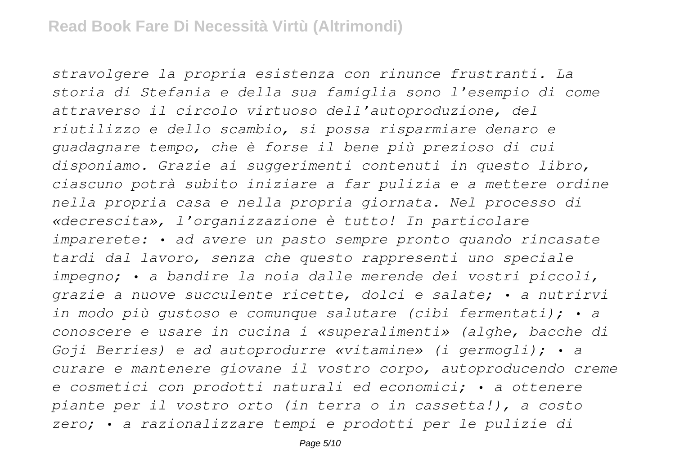*stravolgere la propria esistenza con rinunce frustranti. La storia di Stefania e della sua famiglia sono l'esempio di come attraverso il circolo virtuoso dell'autoproduzione, del riutilizzo e dello scambio, si possa risparmiare denaro e guadagnare tempo, che è forse il bene più prezioso di cui disponiamo. Grazie ai suggerimenti contenuti in questo libro, ciascuno potrà subito iniziare a far pulizia e a mettere ordine nella propria casa e nella propria giornata. Nel processo di «decrescita», l'organizzazione è tutto! In particolare imparerete: • ad avere un pasto sempre pronto quando rincasate tardi dal lavoro, senza che questo rappresenti uno speciale impegno; • a bandire la noia dalle merende dei vostri piccoli, grazie a nuove succulente ricette, dolci e salate; • a nutrirvi in modo più gustoso e comunque salutare (cibi fermentati); • a conoscere e usare in cucina i «superalimenti» (alghe, bacche di Goji Berries) e ad autoprodurre «vitamine» (i germogli); • a curare e mantenere giovane il vostro corpo, autoproducendo creme e cosmetici con prodotti naturali ed economici; • a ottenere piante per il vostro orto (in terra o in cassetta!), a costo zero; • a razionalizzare tempi e prodotti per le pulizie di*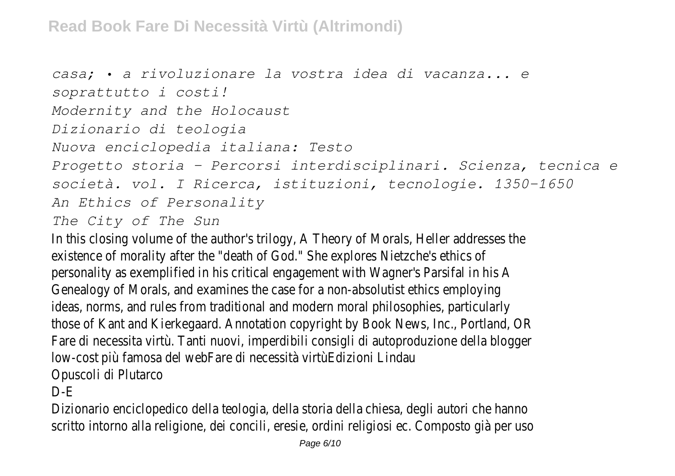```
casa; • a rivoluzionare la vostra idea di vacanza... e
soprattutto i costi!
Modernity and the Holocaust
Dizionario di teologia
Nuova enciclopedia italiana: Testo
Progetto storia – Percorsi interdisciplinari. Scienza, tecnica e
società. vol. I Ricerca, istituzioni, tecnologie. 1350-1650
An Ethics of Personality
The City of The Sun
```
In this closing volume of the author's trilogy, A Theory of Morals, Heller addresses the existence of morality after the "death of God." She explores Nietzche's ethics of personality as exemplified in his critical engagement with Wagner's Parsifal in his A Genealogy of Morals, and examines the case for a non-absolutist ethics employing ideas, norms, and rules from traditional and modern moral philosophies, particularly those of Kant and Kierkegaard. Annotation copyright by Book News, Inc., Portland, OR Fare di necessita virtù. Tanti nuovi, imperdibili consigli di autoproduzione della blogger low-cost più famosa del webFare di necessità virtùEdizioni Lindau Opuscoli di Plutarco

### D-E

Dizionario enciclopedico della teologia, della storia della chiesa, degli autori che hanno scritto intorno alla religione, dei concili, eresie, ordini religiosi ec. Composto già per uso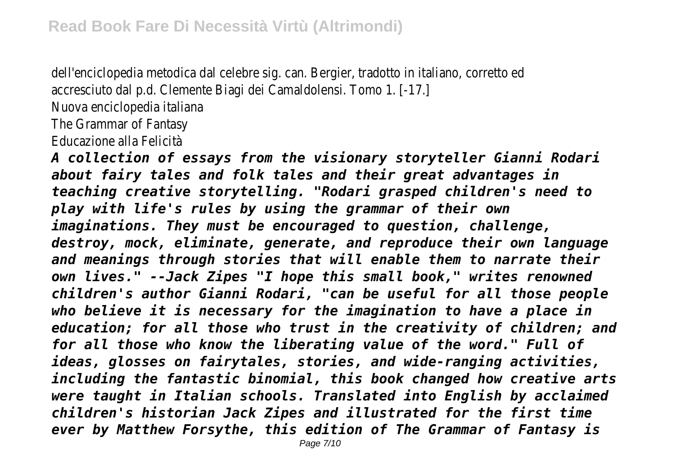dell'enciclopedia metodica dal celebre sig. can. Bergier, tradotto in italiano, corretto ed accresciuto dal p.d. Clemente Biagi dei Camaldolensi. Tomo 1. [-17.] Nuova enciclopedia italiana The Grammar of Fantasy Educazione alla Felicità

*A collection of essays from the visionary storyteller Gianni Rodari about fairy tales and folk tales and their great advantages in teaching creative storytelling. "Rodari grasped children's need to play with life's rules by using the grammar of their own imaginations. They must be encouraged to question, challenge, destroy, mock, eliminate, generate, and reproduce their own language and meanings through stories that will enable them to narrate their own lives." --Jack Zipes "I hope this small book," writes renowned children's author Gianni Rodari, "can be useful for all those people who believe it is necessary for the imagination to have a place in education; for all those who trust in the creativity of children; and for all those who know the liberating value of the word." Full of ideas, glosses on fairytales, stories, and wide-ranging activities, including the fantastic binomial, this book changed how creative arts were taught in Italian schools. Translated into English by acclaimed children's historian Jack Zipes and illustrated for the first time ever by Matthew Forsythe, this edition of The Grammar of Fantasy is*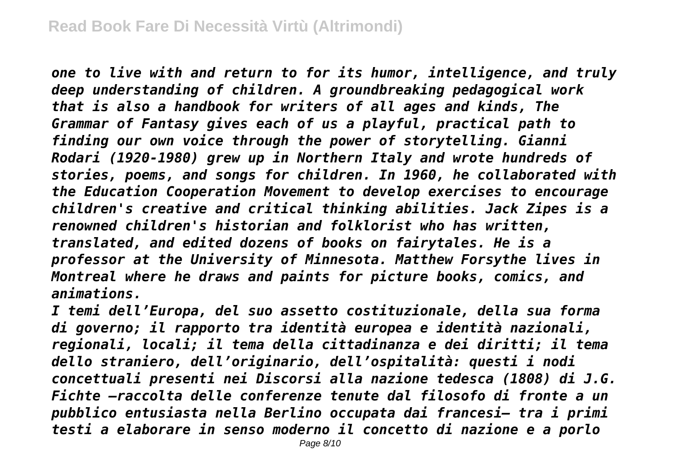*one to live with and return to for its humor, intelligence, and truly deep understanding of children. A groundbreaking pedagogical work that is also a handbook for writers of all ages and kinds, The Grammar of Fantasy gives each of us a playful, practical path to finding our own voice through the power of storytelling. Gianni Rodari (1920-1980) grew up in Northern Italy and wrote hundreds of stories, poems, and songs for children. In 1960, he collaborated with the Education Cooperation Movement to develop exercises to encourage children's creative and critical thinking abilities. Jack Zipes is a renowned children's historian and folklorist who has written, translated, and edited dozens of books on fairytales. He is a professor at the University of Minnesota. Matthew Forsythe lives in Montreal where he draws and paints for picture books, comics, and animations.*

*I temi dell'Europa, del suo assetto costituzionale, della sua forma di governo; il rapporto tra identità europea e identità nazionali, regionali, locali; il tema della cittadinanza e dei diritti; il tema dello straniero, dell'originario, dell'ospitalità: questi i nodi concettuali presenti nei Discorsi alla nazione tedesca (1808) di J.G. Fichte –raccolta delle conferenze tenute dal filosofo di fronte a un pubblico entusiasta nella Berlino occupata dai francesi– tra i primi testi a elaborare in senso moderno il concetto di nazione e a porlo*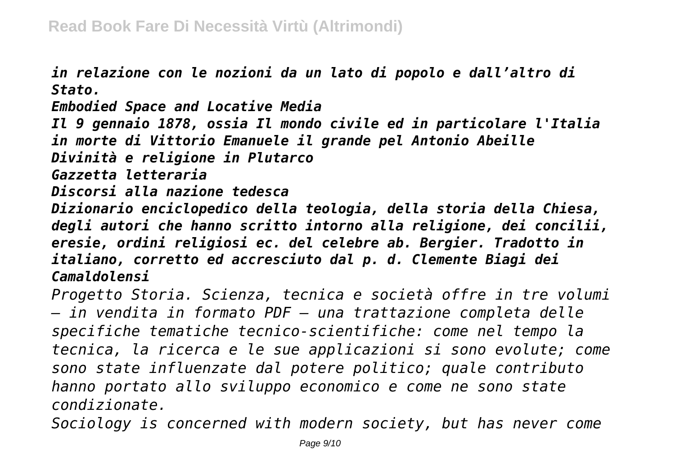*in relazione con le nozioni da un lato di popolo e dall'altro di Stato.*

*Embodied Space and Locative Media Il 9 gennaio 1878, ossia Il mondo civile ed in particolare l'Italia in morte di Vittorio Emanuele il grande pel Antonio Abeille Divinità e religione in Plutarco Gazzetta letteraria Discorsi alla nazione tedesca Dizionario enciclopedico della teologia, della storia della Chiesa, degli autori che hanno scritto intorno alla religione, dei concilii, eresie, ordini religiosi ec. del celebre ab. Bergier. Tradotto in italiano, corretto ed accresciuto dal p. d. Clemente Biagi dei*

*Camaldolensi*

*Progetto Storia. Scienza, tecnica e società offre in tre volumi – in vendita in formato PDF – una trattazione completa delle specifiche tematiche tecnico-scientifiche: come nel tempo la tecnica, la ricerca e le sue applicazioni si sono evolute; come sono state influenzate dal potere politico; quale contributo hanno portato allo sviluppo economico e come ne sono state condizionate.*

*Sociology is concerned with modern society, but has never come*